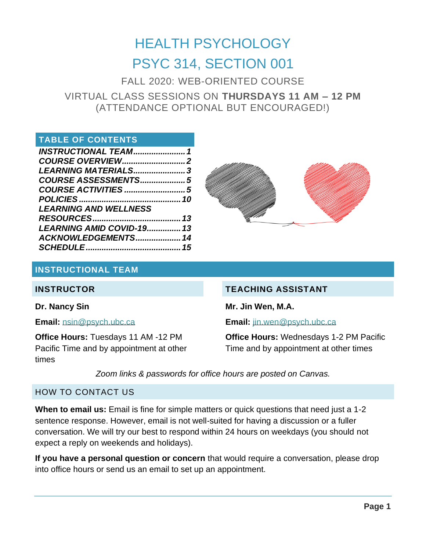# HEALTH PSYCHOLOGY PSYC 314, SECTION 001

FALL 2020: WEB-ORIENTED COURSE VIRTUAL CLASS SESSIONS ON **THURSDAYS 11 AM – 12 PM** (ATTENDANCE OPTIONAL BUT ENCOURAGED!)

# **TABLE OF CONTENTS**

| <b>INSTRUCTIONAL TEAM1</b>   |  |
|------------------------------|--|
|                              |  |
| LEARNING MATERIALS3          |  |
| COURSE ASSESSMENTS5          |  |
|                              |  |
|                              |  |
| <b>LEARNING AND WELLNESS</b> |  |
|                              |  |
| LEARNING AMID COVID-19 13    |  |
| ACKNOWLEDGEMENTS 14          |  |
|                              |  |



#### <span id="page-0-0"></span>**INSTRUCTIONAL TEAM**

#### **INSTRUCTOR**

#### **Dr. Nancy Sin**

**Email:** [nsin@psych.ubc.ca](mailto:nsin@psych.ubc.ca)

**Office Hours:** Tuesdays 11 AM -12 PM Pacific Time and by appointment at other times

#### **TEACHING ASSISTANT**

**Mr. Jin Wen, M.A.**

**Email:** [jin.wen@psych.ubc.ca](mailto:jin.wen@psych.ubc.ca)

**Office Hours:** Wednesdays 1-2 PM Pacific Time and by appointment at other times

*Zoom links & passwords for office hours are posted on Canvas.*

#### HOW TO CONTACT US

**When to email us:** Email is fine for simple matters or quick questions that need just a 1-2 sentence response. However, email is not well-suited for having a discussion or a fuller conversation. We will try our best to respond within 24 hours on weekdays (you should not expect a reply on weekends and holidays).

**If you have a personal question or concern** that would require a conversation, please drop into office hours or send us an email to set up an appointment.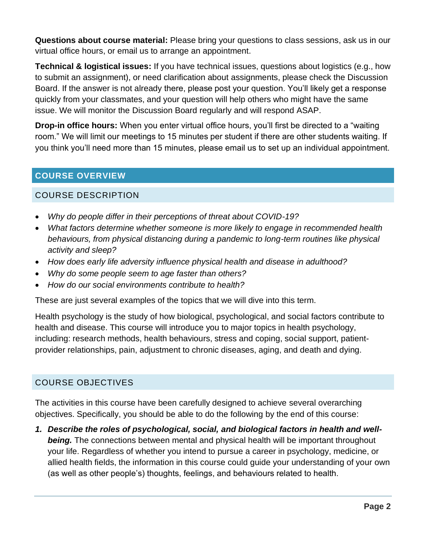**Questions about course material:** Please bring your questions to class sessions, ask us in our virtual office hours, or email us to arrange an appointment.

**Technical & logistical issues:** If you have technical issues, questions about logistics (e.g., how to submit an assignment), or need clarification about assignments, please check the Discussion Board. If the answer is not already there, please post your question. You'll likely get a response quickly from your classmates, and your question will help others who might have the same issue. We will monitor the Discussion Board regularly and will respond ASAP.

**Drop-in office hours:** When you enter virtual office hours, you'll first be directed to a "waiting room." We will limit our meetings to 15 minutes per student if there are other students waiting. If you think you'll need more than 15 minutes, please email us to set up an individual appointment.

# <span id="page-1-0"></span>**COURSE OVERVIEW**

#### COURSE DESCRIPTION

- *Why do people differ in their perceptions of threat about COVID-19?*
- *What factors determine whether someone is more likely to engage in recommended health behaviours, from physical distancing during a pandemic to long-term routines like physical activity and sleep?*
- *How does early life adversity influence physical health and disease in adulthood?*
- *Why do some people seem to age faster than others?*
- *How do our social environments contribute to health?*

These are just several examples of the topics that we will dive into this term.

Health psychology is the study of how biological, psychological, and social factors contribute to health and disease. This course will introduce you to major topics in health psychology, including: research methods, health behaviours, stress and coping, social support, patientprovider relationships, pain, adjustment to chronic diseases, aging, and death and dying.

# COURSE OBJECTIVES

The activities in this course have been carefully designed to achieve several overarching objectives. Specifically, you should be able to do the following by the end of this course:

*1. Describe the roles of psychological, social, and biological factors in health and wellbeing.* The connections between mental and physical health will be important throughout your life. Regardless of whether you intend to pursue a career in psychology, medicine, or allied health fields, the information in this course could guide your understanding of your own (as well as other people's) thoughts, feelings, and behaviours related to health.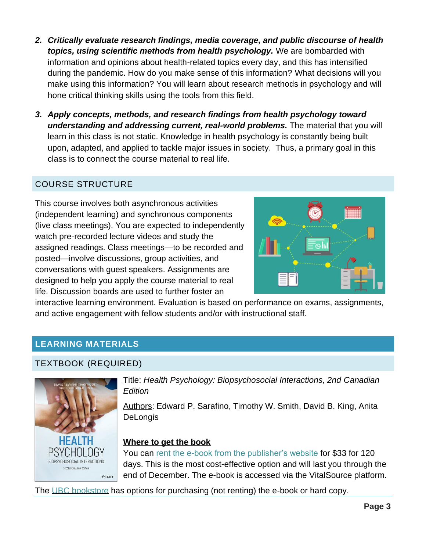- *2. Critically evaluate research findings, media coverage, and public discourse of health topics, using scientific methods from health psychology.* We are bombarded with information and opinions about health-related topics every day, and this has intensified during the pandemic. How do you make sense of this information? What decisions will you make using this information? You will learn about research methods in psychology and will hone critical thinking skills using the tools from this field.
- *3. Apply concepts, methods, and research findings from health psychology toward understanding and addressing current, real-world problems.* The material that you will learn in this class is not static. Knowledge in health psychology is constantly being built upon, adapted, and applied to tackle major issues in society. Thus, a primary goal in this class is to connect the course material to real life.

# COURSE STRUCTURE

This course involves both asynchronous activities (independent learning) and synchronous components (live class meetings). You are expected to independently watch pre-recorded lecture videos and study the assigned readings. Class meetings—to be recorded and posted—involve discussions, group activities, and conversations with guest speakers. Assignments are designed to help you apply the course material to real life. Discussion boards are used to further foster an



interactive learning environment. Evaluation is based on performance on exams, assignments, and active engagement with fellow students and/or with instructional staff.

# <span id="page-2-0"></span>**LEARNING MATERIALS**

#### TEXTBOOK (REQUIRED)



Title: *Health Psychology: Biopsychosocial Interactions, 2nd Canadian Edition*

Authors: Edward P. Sarafino, Timothy W. Smith, David B. King, Anita **DeLongis** 

#### **Where to get the book**

You can [rent the e-book from the publisher's website](https://www.wiley.com/en-ca/Health+Psychology%3A+Biopsychosocial+Interactions%2C+2nd+Canadian+Edition-p-9781119506881) for \$33 for 120 days. This is the most cost-effective option and will last you through the end of December. The e-book is accessed via the VitalSource platform.

The [UBC bookstore](https://shop.bookstore.ubc.ca/courselistbuilder.aspx) has options for purchasing (not renting) the e-book or hard copy.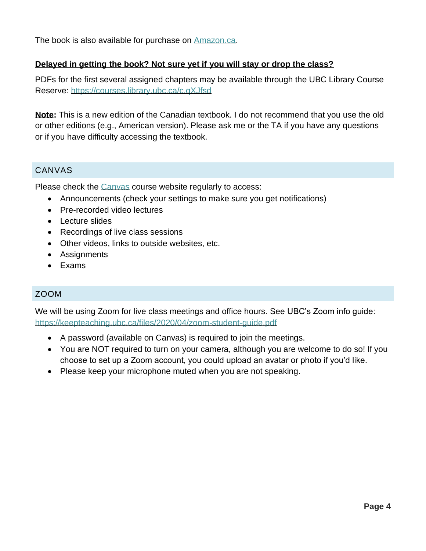The book is also available for purchase on [Amazon.ca.](https://www.amazon.ca/gp/product/1119506948/ref=ppx_yo_dt_b_asin_title_o00_s00?ie=UTF8&psc=1)

#### **Delayed in getting the book? Not sure yet if you will stay or drop the class?**

PDFs for the first several assigned chapters may be available through the UBC Library Course Reserve: <https://courses.library.ubc.ca/c.qXJfsd>

**Note:** This is a new edition of the Canadian textbook. I do not recommend that you use the old or other editions (e.g., American version). Please ask me or the TA if you have any questions or if you have difficulty accessing the textbook.

#### CANVAS

Please check the [Canvas](https://canvas.ubc.ca/) course website regularly to access:

- Announcements (check your settings to make sure you get notifications)
- Pre-recorded video lectures
- Lecture slides
- Recordings of live class sessions
- Other videos, links to outside websites, etc.
- Assignments
- Exams

#### ZOOM

We will be using Zoom for live class meetings and office hours. See UBC's Zoom info guide: <https://keepteaching.ubc.ca/files/2020/04/zoom-student-guide.pdf>

- A password (available on Canvas) is required to join the meetings.
- You are NOT required to turn on your camera, although you are welcome to do so! If you choose to set up a Zoom account, you could upload an avatar or photo if you'd like.
- Please keep your microphone muted when you are not speaking.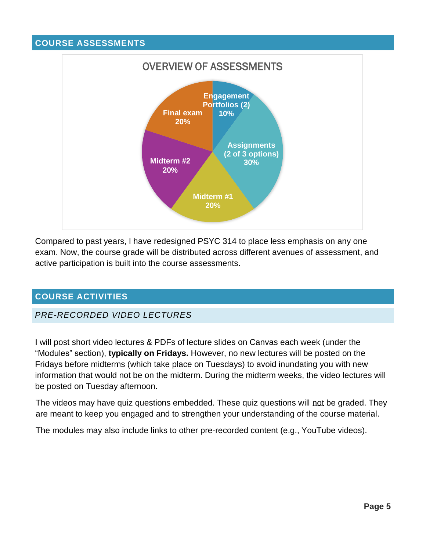#### <span id="page-4-0"></span>**COURSE ASSESSMENTS**



Compared to past years, I have redesigned PSYC 314 to place less emphasis on any one exam. Now, the course grade will be distributed across different avenues of assessment, and active participation is built into the course assessments.

# <span id="page-4-1"></span>**COURSE ACTIVITIES**

#### *PRE-RECORDED VIDEO LECTURES*

I will post short video lectures & PDFs of lecture slides on Canvas each week (under the "Modules" section), **typically on Fridays.** However, no new lectures will be posted on the Fridays before midterms (which take place on Tuesdays) to avoid inundating you with new information that would not be on the midterm. During the midterm weeks, the video lectures will be posted on Tuesday afternoon.

The videos may have quiz questions embedded. These quiz questions will not be graded. They are meant to keep you engaged and to strengthen your understanding of the course material.

The modules may also include links to other pre-recorded content (e.g., YouTube videos).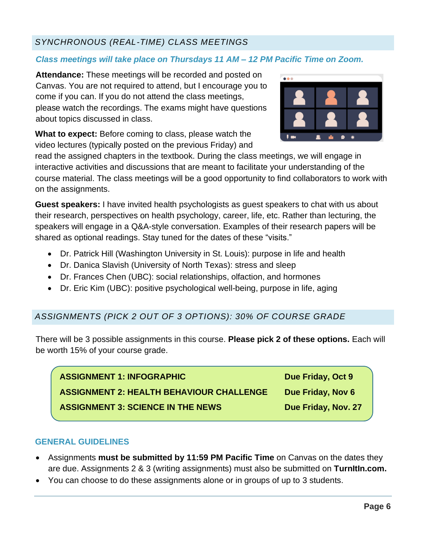# *SYNCHRONOUS (REAL-TIME) CLASS MEETINGS*

# *Class meetings will take place on Thursdays 11 AM – 12 PM Pacific Time on Zoom.*

**Attendance:** These meetings will be recorded and posted on Canvas. You are not required to attend, but I encourage you to come if you can. If you do not attend the class meetings, please watch the recordings. The exams might have questions about topics discussed in class.

**What to expect:** Before coming to class, please watch the video lectures (typically posted on the previous Friday) and



read the assigned chapters in the textbook. During the class meetings, we will engage in interactive activities and discussions that are meant to facilitate your understanding of the course material. The class meetings will be a good opportunity to find collaborators to work with on the assignments.

**Guest speakers:** I have invited health psychologists as guest speakers to chat with us about their research, perspectives on health psychology, career, life, etc. Rather than lecturing, the speakers will engage in a Q&A-style conversation. Examples of their research papers will be shared as optional readings. Stay tuned for the dates of these "visits."

- Dr. Patrick Hill (Washington University in St. Louis): purpose in life and health
- Dr. Danica Slavish (University of North Texas): stress and sleep
- Dr. Frances Chen (UBC): social relationships, olfaction, and hormones
- Dr. Eric Kim (UBC): positive psychological well-being, purpose in life, aging

#### *ASSIGNMENTS (PICK 2 OUT OF 3 OPTIONS): 30% OF COURSE GRADE*

There will be 3 possible assignments in this course. **Please pick 2 of these options.** Each will be worth 15% of your course grade.

| <b>ASSIGNMENT 1: INFOGRAPHIC</b>                | Due Friday, Oct 9   |
|-------------------------------------------------|---------------------|
| <b>ASSIGNMENT 2: HEALTH BEHAVIOUR CHALLENGE</b> | Due Friday, Nov 6   |
| <b>ASSIGNMENT 3: SCIENCE IN THE NEWS</b>        | Due Friday, Nov. 27 |

#### **GENERAL GUIDELINES**

- Assignments **must be submitted by 11:59 PM Pacific Time** on Canvas on the dates they are due. Assignments 2 & 3 (writing assignments) must also be submitted on **TurnItIn.com.**
- You can choose to do these assignments alone or in groups of up to 3 students.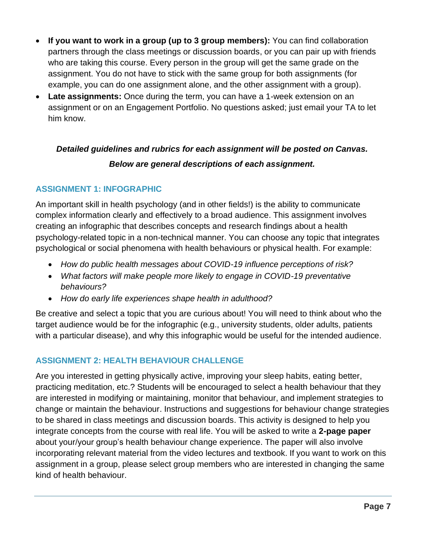- **If you want to work in a group (up to 3 group members):** You can find collaboration partners through the class meetings or discussion boards, or you can pair up with friends who are taking this course. Every person in the group will get the same grade on the assignment. You do not have to stick with the same group for both assignments (for example, you can do one assignment alone, and the other assignment with a group).
- **Late assignments:** Once during the term, you can have a 1-week extension on an assignment or on an Engagement Portfolio. No questions asked; just email your TA to let him know.

# *Detailed guidelines and rubrics for each assignment will be posted on Canvas. Below are general descriptions of each assignment.*

# **ASSIGNMENT 1: INFOGRAPHIC**

An important skill in health psychology (and in other fields!) is the ability to communicate complex information clearly and effectively to a broad audience. This assignment involves creating an infographic that describes concepts and research findings about a health psychology-related topic in a non-technical manner. You can choose any topic that integrates psychological or social phenomena with health behaviours or physical health. For example:

- *How do public health messages about COVID-19 influence perceptions of risk?*
- *What factors will make people more likely to engage in COVID-19 preventative behaviours?*
- *How do early life experiences shape health in adulthood?*

Be creative and select a topic that you are curious about! You will need to think about who the target audience would be for the infographic (e.g., university students, older adults, patients with a particular disease), and why this infographic would be useful for the intended audience.

# **ASSIGNMENT 2: HEALTH BEHAVIOUR CHALLENGE**

Are you interested in getting physically active, improving your sleep habits, eating better, practicing meditation, etc.? Students will be encouraged to select a health behaviour that they are interested in modifying or maintaining, monitor that behaviour, and implement strategies to change or maintain the behaviour. Instructions and suggestions for behaviour change strategies to be shared in class meetings and discussion boards. This activity is designed to help you integrate concepts from the course with real life. You will be asked to write a **2-page paper** about your/your group's health behaviour change experience. The paper will also involve incorporating relevant material from the video lectures and textbook. If you want to work on this assignment in a group, please select group members who are interested in changing the same kind of health behaviour.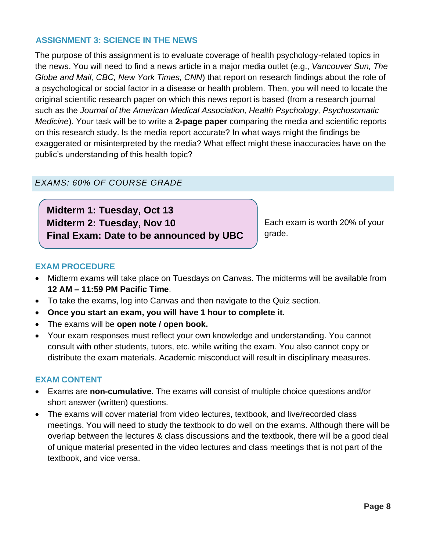#### **ASSIGNMENT 3: SCIENCE IN THE NEWS**

The purpose of this assignment is to evaluate coverage of health psychology-related topics in the news. You will need to find a news article in a major media outlet (e.g., *Vancouver Sun, The Globe and Mail, CBC, New York Times, CNN*) that report on research findings about the role of a psychological or social factor in a disease or health problem. Then, you will need to locate the original scientific research paper on which this news report is based (from a research journal such as the *Journal of the American Medical Association, Health Psychology, Psychosomatic Medicine*). Your task will be to write a **2-page paper** comparing the media and scientific reports on this research study. Is the media report accurate? In what ways might the findings be exaggerated or misinterpreted by the media? What effect might these inaccuracies have on the public's understanding of this health topic?

#### *EXAMS: 60% OF COURSE GRADE*

**Midterm 1: Tuesday, Oct 13 Midterm 2: Tuesday, Nov 10 Final Exam: Date to be announced by UBC**

Each exam is worth 20% of your grade.

#### **EXAM PROCEDURE**

- Midterm exams will take place on Tuesdays on Canvas. The midterms will be available from **12 AM – 11:59 PM Pacific Time**.
- To take the exams, log into Canvas and then navigate to the Quiz section.
- **Once you start an exam, you will have 1 hour to complete it.**
- The exams will be **open note / open book.**
- Your exam responses must reflect your own knowledge and understanding. You cannot consult with other students, tutors, etc. while writing the exam. You also cannot copy or distribute the exam materials. Academic misconduct will result in disciplinary measures.

#### **EXAM CONTENT**

- Exams are **non-cumulative.** The exams will consist of multiple choice questions and/or short answer (written) questions.
- The exams will cover material from video lectures, textbook, and live/recorded class meetings. You will need to study the textbook to do well on the exams. Although there will be overlap between the lectures & class discussions and the textbook, there will be a good deal of unique material presented in the video lectures and class meetings that is not part of the textbook, and vice versa.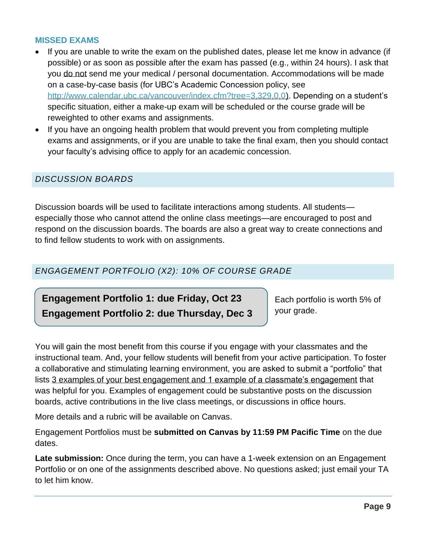#### **MISSED EXAMS**

- If you are unable to write the exam on the published dates, please let me know in advance (if possible) or as soon as possible after the exam has passed (e.g., within 24 hours). I ask that you do not send me your medical / personal documentation. Accommodations will be made on a case-by-case basis (for UBC's Academic Concession policy, see [http://www.calendar.ubc.ca/vancouver/index.cfm?tree=3,329,0,0\)](http://www.calendar.ubc.ca/vancouver/index.cfm?tree=3,329,0,0). Depending on a student's specific situation, either a make-up exam will be scheduled or the course grade will be reweighted to other exams and assignments.
- If you have an ongoing health problem that would prevent you from completing multiple exams and assignments, or if you are unable to take the final exam, then you should contact your faculty's advising office to apply for an academic concession.

#### *DISCUSSION BOARDS*

Discussion boards will be used to facilitate interactions among students. All students especially those who cannot attend the online class meetings—are encouraged to post and respond on the discussion boards. The boards are also a great way to create connections and to find fellow students to work with on assignments.

#### *ENGAGEMENT PORTFOLIO (X2): 10% OF COURSE GRADE*

# **Engagement Portfolio 1: due Friday, Oct 23 Engagement Portfolio 2: due Thursday, Dec 3**

Each portfolio is worth 5% of your grade.

You will gain the most benefit from this course if you engage with your classmates and the instructional team. And, your fellow students will benefit from your active participation. To foster a collaborative and stimulating learning environment, you are asked to submit a "portfolio" that lists 3 examples of your best engagement and 1 example of a classmate's engagement that was helpful for you. Examples of engagement could be substantive posts on the discussion boards, active contributions in the live class meetings, or discussions in office hours.

More details and a rubric will be available on Canvas.

Engagement Portfolios must be **submitted on Canvas by 11:59 PM Pacific Time** on the due dates.

**Late submission:** Once during the term, you can have a 1-week extension on an Engagement Portfolio or on one of the assignments described above. No questions asked; just email your TA to let him know.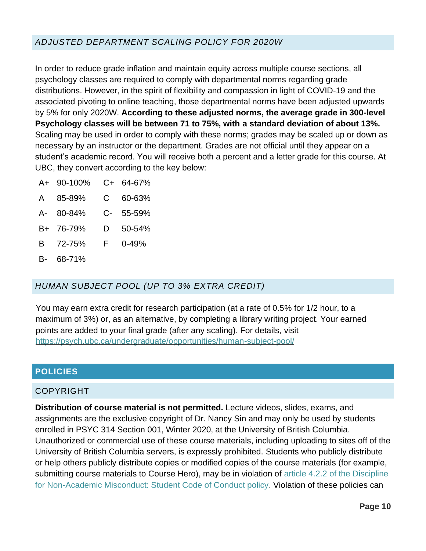# *ADJUSTED DEPARTMENT SCALING POLICY FOR 2020W*

In order to reduce grade inflation and maintain equity across multiple course sections, all psychology classes are required to comply with departmental norms regarding grade distributions. However, in the spirit of flexibility and compassion in light of COVID-19 and the associated pivoting to online teaching, those departmental norms have been adjusted upwards by 5% for only 2020W. **According to these adjusted norms, the average grade in 300-level Psychology classes will be between 71 to 75%, with a standard deviation of about 13%.** Scaling may be used in order to comply with these norms; grades may be scaled up or down as necessary by an instructor or the department. Grades are not official until they appear on a student's academic record. You will receive both a percent and a letter grade for this course. At UBC, they convert according to the key below:

- A+ 90-100% C+ 64-67%
- A 85-89% C 60-63%
- A- 80-84% C- 55-59%
- B+ 76-79% D 50-54%
- B 72-75% F 0-49%
- B- 68-71%

#### *HUMAN SUBJECT POOL (UP TO 3% EXTRA CREDIT)*

You may earn extra credit for research participation (at a rate of 0.5% for 1/2 hour, to a maximum of 3%) or, as an alternative, by completing a library writing project. Your earned points are added to your final grade (after any scaling). For details, visit <https://psych.ubc.ca/undergraduate/opportunities/human-subject-pool/>

#### <span id="page-9-0"></span>**POLICIES**

#### COPYRIGHT

**Distribution of course material is not permitted.** Lecture videos, slides, exams, and assignments are the exclusive copyright of Dr. Nancy Sin and may only be used by students enrolled in PSYC 314 Section 001, Winter 2020, at the University of British Columbia. Unauthorized or commercial use of these course materials, including uploading to sites off of the University of British Columbia servers, is expressly prohibited. Students who publicly distribute or help others publicly distribute copies or modified copies of the course materials (for example, submitting course materials to Course Hero), may be in violation of article 4.2.2 of the Discipline [for Non-Academic Misconduct: Student Code of Conduct policy.](http://www.calendar.ubc.ca/vancouver/index.cfm?tree=3,54,750,0#19702) Violation of these policies can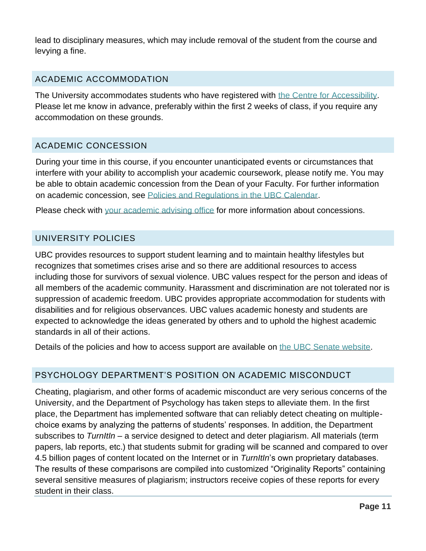lead to disciplinary measures, which may include removal of the student from the course and levying a fine.

#### ACADEMIC ACCOMMODATION

The University accommodates students who have registered with [the Centre for Accessibility.](http://students.ubc.ca/about/access) Please let me know in advance, preferably within the first 2 weeks of class, if you require any accommodation on these grounds.

# ACADEMIC CONCESSION

During your time in this course, if you encounter unanticipated events or circumstances that interfere with your ability to accomplish your academic coursework, please notify me. You may be able to obtain academic concession from the Dean of your Faculty. For further information on academic concession, see [Policies and Regulations in the UBC Calendar.](http://www.calendar.ubc.ca/vancouver/index.cfm?tree=3,329,0,0)

Please check with [your academic advising office](https://students.ubc.ca/enrolment/academic-learning-resources/academic-concessions) for more information about concessions.

#### UNIVERSITY POLICIES

UBC provides resources to support student learning and to maintain healthy lifestyles but recognizes that sometimes crises arise and so there are additional resources to access including those for survivors of sexual violence. UBC values respect for the person and ideas of all members of the academic community. Harassment and discrimination are not tolerated nor is suppression of academic freedom. UBC provides appropriate accommodation for students with disabilities and for religious observances. UBC values academic honesty and students are expected to acknowledge the ideas generated by others and to uphold the highest academic standards in all of their actions.

Details of the policies and how to access support are available on [the UBC Senate website.](https://senate.ubc.ca/policies-resources-support-student-success)

# PSYCHOLOGY DEPARTMENT'S POSITION ON ACADEMIC MISCONDUCT

Cheating, plagiarism, and other forms of academic misconduct are very serious concerns of the University, and the Department of Psychology has taken steps to alleviate them. In the first place, the Department has implemented software that can reliably detect cheating on multiplechoice exams by analyzing the patterns of students' responses. In addition, the Department subscribes to *TurnItIn* – a service designed to detect and deter plagiarism. All materials (term papers, lab reports, etc.) that students submit for grading will be scanned and compared to over 4.5 billion pages of content located on the Internet or in *TurnItIn*'s own proprietary databases. The results of these comparisons are compiled into customized "Originality Reports" containing several sensitive measures of plagiarism; instructors receive copies of these reports for every student in their class.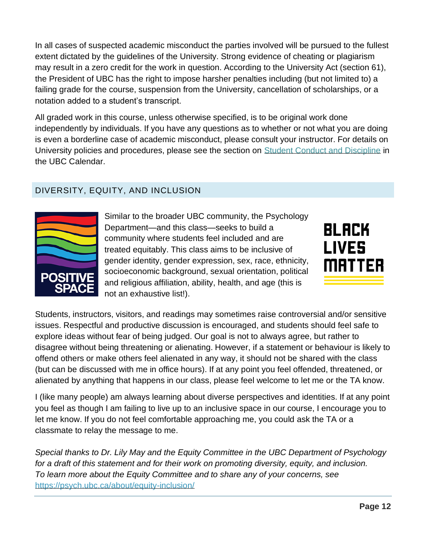In all cases of suspected academic misconduct the parties involved will be pursued to the fullest extent dictated by the guidelines of the University. Strong evidence of cheating or plagiarism may result in a zero credit for the work in question. According to the University Act (section 61), the President of UBC has the right to impose harsher penalties including (but not limited to) a failing grade for the course, suspension from the University, cancellation of scholarships, or a notation added to a student's transcript.

All graded work in this course, unless otherwise specified, is to be original work done independently by individuals. If you have any questions as to whether or not what you are doing is even a borderline case of academic misconduct, please consult your instructor. For details on University policies and procedures, please see the section on [Student Conduct and Discipline](http://www.calendar.ubc.ca/vancouver/index.cfm?tree=3,54,0,0) in the UBC Calendar.

# DIVERSITY, EQUITY, AND INCLUSION



Similar to the broader UBC community, the Psychology Department—and this class—seeks to build a community where students feel included and are treated equitably. This class aims to be inclusive of gender identity, gender expression, sex, race, ethnicity, socioeconomic background, sexual orientation, political and religious affiliation, ability, health, and age (this is not an exhaustive list!).



Students, instructors, visitors, and readings may sometimes raise controversial and/or sensitive issues. Respectful and productive discussion is encouraged, and students should feel safe to explore ideas without fear of being judged. Our goal is not to always agree, but rather to disagree without being threatening or alienating. However, if a statement or behaviour is likely to offend others or make others feel alienated in any way, it should not be shared with the class (but can be discussed with me in office hours). If at any point you feel offended, threatened, or alienated by anything that happens in our class, please feel welcome to let me or the TA know.

I (like many people) am always learning about diverse perspectives and identities. If at any point you feel as though I am failing to live up to an inclusive space in our course, I encourage you to let me know. If you do not feel comfortable approaching me, you could ask the TA or a classmate to relay the message to me.

*Special thanks to Dr. Lily May and the Equity Committee in the UBC Department of Psychology for a draft of this statement and for their work on promoting diversity, equity, and inclusion. To learn more about the Equity Committee and to share any of your concerns, see*  <https://psych.ubc.ca/about/equity-inclusion/>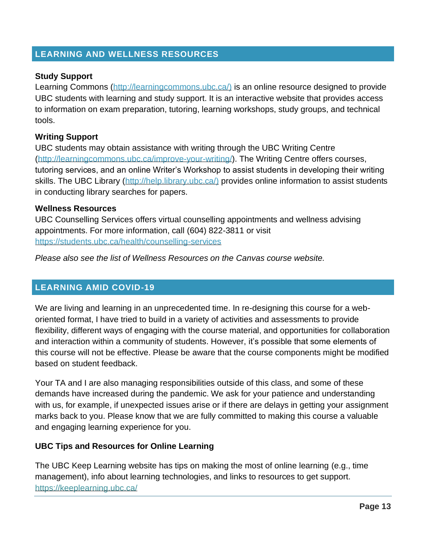#### <span id="page-12-0"></span>**LEARNING AND WELLNESS RESOURCES**

#### **Study Support**

Learning Commons [\(http://learningcommons.ubc.ca/\)](http://learningcommons.ubc.ca/)) is an online resource designed to provide UBC students with learning and study support. It is an interactive website that provides access to information on exam preparation, tutoring, learning workshops, study groups, and technical tools.

#### **Writing Support**

UBC students may obtain assistance with writing through the UBC Writing Centre [\(http://learningcommons.ubc.ca/improve-your-writing/\)](http://learningcommons.ubc.ca/improve-your-writing/). The Writing Centre offers courses, tutoring services, and an online Writer's Workshop to assist students in developing their writing skills. The UBC Library [\(http://help.library.ubc.ca/\)](http://help.library.ubc.ca/)) provides online information to assist students in conducting library searches for papers.

#### **Wellness Resources**

UBC Counselling Services offers virtual counselling appointments and wellness advising appointments. For more information, call (604) 822-3811 or visit <https://students.ubc.ca/health/counselling-services>

*Please also see the list of Wellness Resources on the Canvas course website.*

#### <span id="page-12-1"></span>**LEARNING AMID COVID-19**

We are living and learning in an unprecedented time. In re-designing this course for a weboriented format, I have tried to build in a variety of activities and assessments to provide flexibility, different ways of engaging with the course material, and opportunities for collaboration and interaction within a community of students. However, it's possible that some elements of this course will not be effective. Please be aware that the course components might be modified based on student feedback.

Your TA and I are also managing responsibilities outside of this class, and some of these demands have increased during the pandemic. We ask for your patience and understanding with us, for example, if unexpected issues arise or if there are delays in getting your assignment marks back to you. Please know that we are fully committed to making this course a valuable and engaging learning experience for you.

#### **UBC Tips and Resources for Online Learning**

The UBC Keep Learning website has tips on making the most of online learning (e.g., time management), info about learning technologies, and links to resources to get support. <https://keeplearning.ubc.ca/>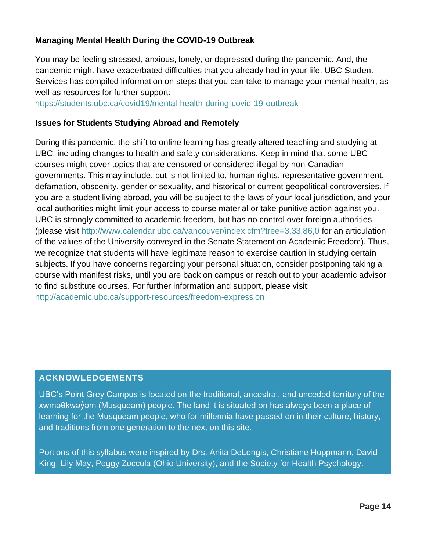#### **Managing Mental Health During the COVID-19 Outbreak**

You may be feeling stressed, anxious, lonely, or depressed during the pandemic. And, the pandemic might have exacerbated difficulties that you already had in your life. UBC Student Services has compiled information on steps that you can take to manage your mental health, as well as resources for further support:

<https://students.ubc.ca/covid19/mental-health-during-covid-19-outbreak>

#### **Issues for Students Studying Abroad and Remotely**

During this pandemic, the shift to online learning has greatly altered teaching and studying at UBC, including changes to health and safety considerations. Keep in mind that some UBC courses might cover topics that are censored or considered illegal by non-Canadian governments. This may include, but is not limited to, human rights, representative government, defamation, obscenity, gender or sexuality, and historical or current geopolitical controversies. If you are a student living abroad, you will be subject to the laws of your local jurisdiction, and your local authorities might limit your access to course material or take punitive action against you. UBC is strongly committed to academic freedom, but has no control over foreign authorities (please visit<http://www.calendar.ubc.ca/vancouver/index.cfm?tree=3,33,86,0> for an articulation of the values of the University conveyed in the Senate Statement on Academic Freedom). Thus, we recognize that students will have legitimate reason to exercise caution in studying certain subjects. If you have concerns regarding your personal situation, consider postponing taking a course with manifest risks, until you are back on campus or reach out to your academic advisor to find substitute courses. For further information and support, please visit: <http://academic.ubc.ca/support-resources/freedom-expression>

#### <span id="page-13-0"></span>**ACKNOWLEDGEMENTS**

UBC's Point Grey Campus is located on the traditional, ancestral, and unceded territory of the xwməθkwəỷəm (Musqueam) people. The land it is situated on has always been a place of learning for the Musqueam people, who for millennia have passed on in their culture, history, and traditions from one generation to the next on this site.

Portions of this syllabus were inspired by Drs. Anita DeLongis, Christiane Hoppmann, David King, Lily May, Peggy Zoccola (Ohio University), and the Society for Health Psychology.